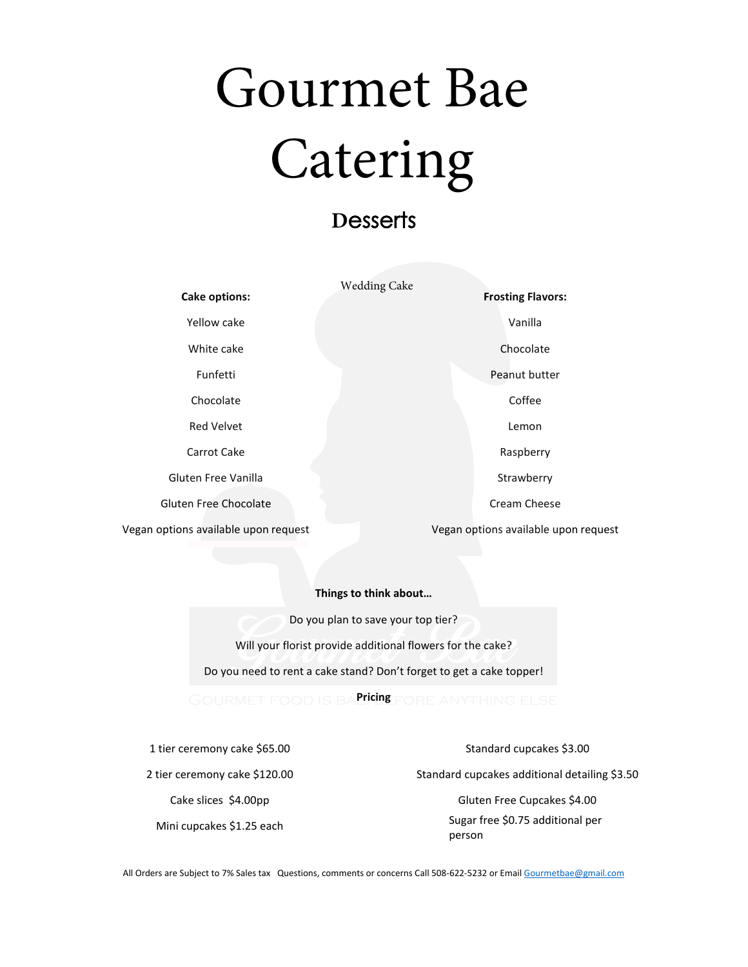# Gourmet Bae Catering

## **D**esserts

|                                      | <b>Wedding Cake</b>                  |
|--------------------------------------|--------------------------------------|
| Cake options:                        | <b>Frosting Flavors:</b>             |
| Yellow cake                          | Vanilla                              |
| White cake                           | Chocolate                            |
| Funfetti                             | Peanut butter                        |
| Chocolate                            | Coffee                               |
| Red Velvet                           | Lemon                                |
| Carrot Cake                          | Raspberry                            |
| Gluten Free Vanilla                  | Strawberry                           |
| Gluten Free Chocolate                | Cream Cheese                         |
| Vegan options available upon request | Vegan options available upon request |

#### **Things to think about…**

Do you plan to save your top tier? Will your florist provide additional flowers for the cake? Do you need to rent a cake stand? Don't forget to get a cake topper!

**Pricing**

1 tier ceremony cake \$65.00 2 tier ceremony cake \$120.00 Cake slices \$4.00pp

Mini cupcakes \$1.25 each

Standard cupcakes \$3.00

Standard cupcakes additional detailing \$3.50

Gluten Free Cupcakes \$4.00 Sugar free \$0.75 additional per person

All Orders are Subject to 7% Sales tax Questions, comments or concerns Call 508-622-5232 or Emai[l Gourmetbae@gmail.com](mailto:Gourmetbae@gmail.com)